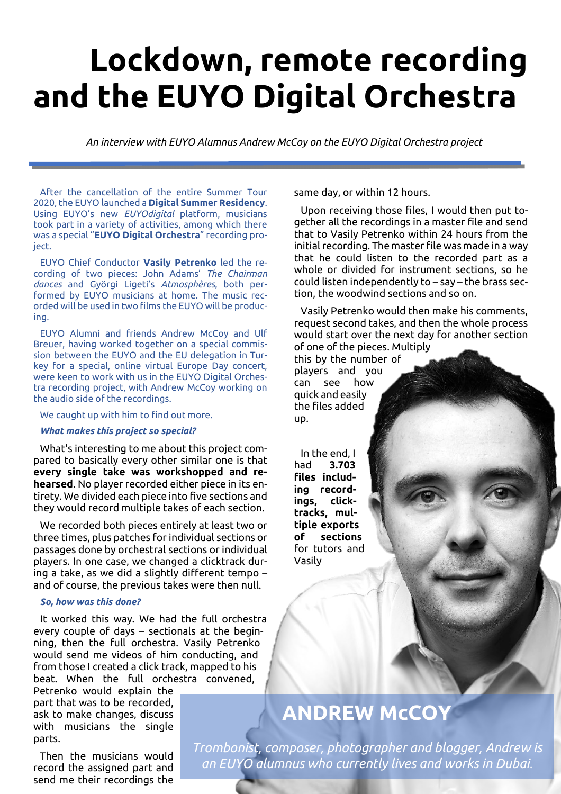# **Lockdown, remote recording and the EUYO Digital Orchestra**

*An interview with EUYO Alumnus Andrew McCoy on the EUYO Digital Orchestra project*

After the cancellation of the entire Summer Tour 2020, the EUYO launched a **Digital Summer Residency**. Using EUYO's new *EUYOdigital* platform, musicians took part in a variety of activities, among which there was a special "**EUYO Digital Orchestra**" recording proiect.

EUYO Chief Conductor **Vasily Petrenko** led the recording of two pieces: John Adams' *The Chairman dances* and Györgi Ligeti's *Atmosphères*, both performed by EUYO musicians at home. The music recorded will be used in two films the EUYO will be producing.

EUYO Alumni and friends Andrew McCoy and Ulf Breuer, having worked together on a special commission between the EUYO and the EU delegation in Turkey for a special, online virtual Europe Day concert, were keen to work with us in the EUYO Digital Orchestra recording project, with Andrew McCoy working on the audio side of the recordings.

We caught up with him to find out more.

# *What makes this project so special?*

What's interesting to me about this project compared to basically every other similar one is that **every single take was workshopped and rehearsed**. No player recorded either piece in its entirety. We divided each piece into five sections and they would record multiple takes of each section.

We recorded both pieces entirely at least two or three times, plus patches for individual sections or passages done by orchestral sections or individual players. In one case, we changed a clicktrack during a take, as we did a slightly different tempo – and of course, the previous takes were then null.

#### *So, how was this done?*

It worked this way. We had the full orchestra every couple of days – sectionals at the beginning, then the full orchestra. Vasily Petrenko would send me videos of him conducting, and from those I created a click track, mapped to his beat. When the full orchestra convened,

Petrenko would explain the part that was to be recorded, ask to make changes, discuss with musicians the single parts.

Then the musicians would record the assigned part and send me their recordings the

same day, or within 12 hours.

Upon receiving those files, I would then put together all the recordings in a master file and send that to Vasily Petrenko within 24 hours from the initial recording. The master file was made in a way that he could listen to the recorded part as a whole or divided for instrument sections, so he could listen independently to – say – the brass section, the woodwind sections and so on.

Vasily Petrenko would then make his comments, request second takes, and then the whole process would start over the next day for another section of one of the pieces. Multiply

this by the number of players and you can see how quick and easily the files added up.

In the end, I had **3.703 files including recordings, clicktracks, multiple exports of sections** for tutors and Vasily

# **ANDREW McCOY**

*Trombonist, composer, photographer and blogger, Andrew is an EUYO alumnus who currently lives and works in Dubai*.